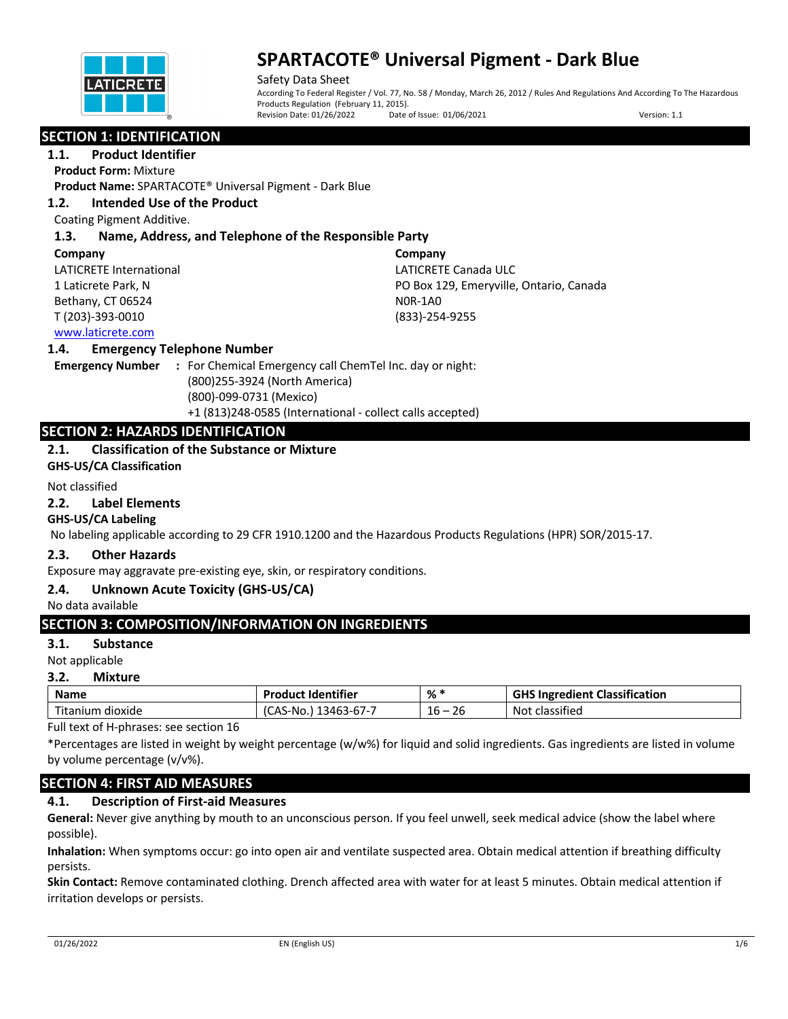

Safety Data Sheet According To Federal Register / Vol. 77, No. 58 / Monday, March 26, 2012 / Rules And Regulations And According To The Hazardous Products Regulation (February 11, 2015).<br>Revision Date: 01/26/2022 Date Date of Issue: 01/06/2021 Version: 1.1

## **SECTION 1: IDENTIFICATION**

**1.1. Product Identifier**

**Product Form:** Mixture

**Product Name:** SPARTACOTE® Universal Pigment - Dark Blue

## **1.2. Intended Use of the Product**

Coating Pigment Additive.

## **1.3. Name, Address, and Telephone of the Responsible Party**

#### **Company**

LATICRETE International 1 Laticrete Park, N Bethany, CT 06524 T (203)-393-0010

**Company** LATICRETE Canada ULC PO Box 129, Emeryville, Ontario, Canada N0R-1A0 (833)-254-9255

## www.laticrete.com

#### **1.4. Emergency Telephone Number**

**Emergency Number :** For Chemical Emergency call ChemTel Inc. day or night: (800)255-3924 (North America) (800)-099-0731 (Mexico) +1 (813)248-0585 (International - collect calls accepted)

## **SECTION 2: HAZARDS IDENTIFICATION**

## **2.1. Classification of the Substance or Mixture**

**GHS-US/CA Classification**

#### Not classified

#### **2.2. Label Elements**

### **GHS-US/CA Labeling**

No labeling applicable according to 29 CFR 1910.1200 and the Hazardous Products Regulations (HPR) SOR/2015-17.

### **2.3. Other Hazards**

Exposure may aggravate pre-existing eye, skin, or respiratory conditions.

### **2.4. Unknown Acute Toxicity (GHS-US/CA)**

No data available

### **SECTION 3: COMPOSITION/INFORMATION ON INGREDIENTS**

### **3.1. Substance**

Not applicable

#### **3.2. Mixture**

| <b>Name</b> | <b>Product Identifier</b> | . % '  | <b>GHS Ingredient Classification</b> |  |
|-------------|---------------------------|--------|--------------------------------------|--|
| Titanium    | (CAS-No.)                 | 26     | classified                           |  |
| i dioxide   | 13463-67-7                | $16 -$ | Not                                  |  |

Full text of H-phrases: see section 16

\*Percentages are listed in weight by weight percentage (w/w%) for liquid and solid ingredients. Gas ingredients are listed in volume by volume percentage (v/v%).

## **SECTION 4: FIRST AID MEASURES**

### **4.1. Description of First-aid Measures**

**General:** Never give anything by mouth to an unconscious person. If you feel unwell, seek medical advice (show the label where possible).

**Inhalation:** When symptoms occur: go into open air and ventilate suspected area. Obtain medical attention if breathing difficulty persists.

**Skin Contact:** Remove contaminated clothing. Drench affected area with water for at least 5 minutes. Obtain medical attention if irritation develops or persists.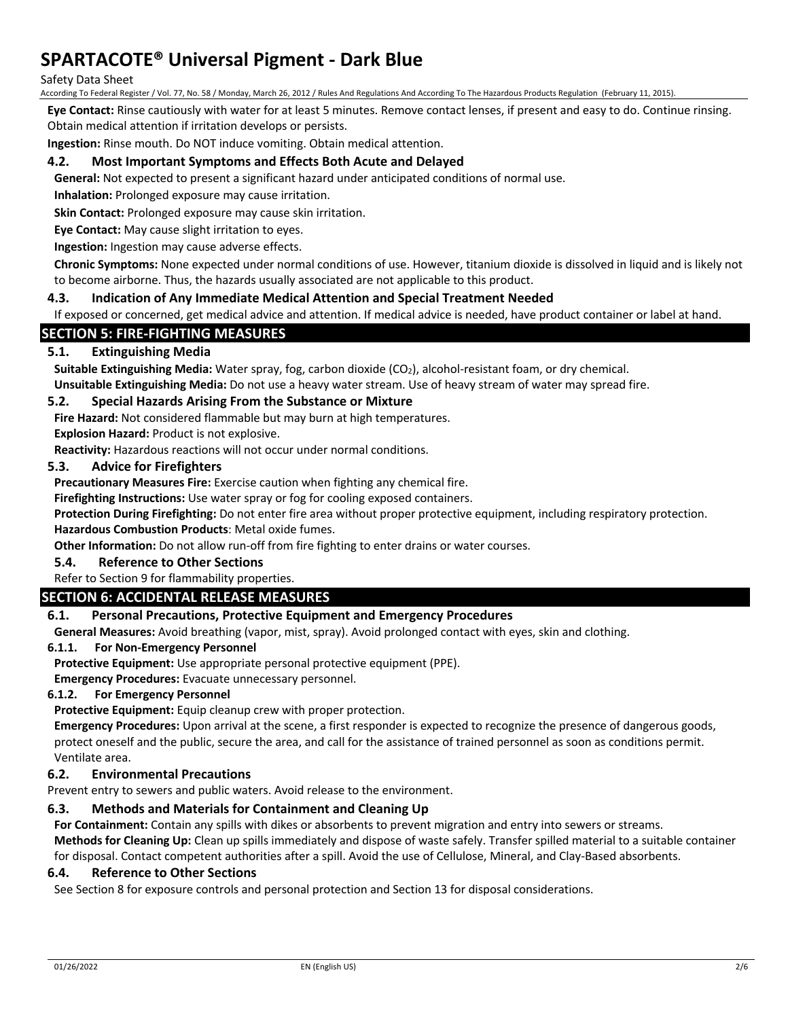#### Safety Data Sheet

According To Federal Register / Vol. 77, No. 58 / Monday, March 26, 2012 / Rules And Regulations And According To The Hazardous Products Regulation (February 11, 2015).

**Eye Contact:** Rinse cautiously with water for at least 5 minutes. Remove contact lenses, if present and easy to do. Continue rinsing. Obtain medical attention if irritation develops or persists.

**Ingestion:** Rinse mouth. Do NOT induce vomiting. Obtain medical attention.

#### **4.2. Most Important Symptoms and Effects Both Acute and Delayed**

**General:** Not expected to present a significant hazard under anticipated conditions of normal use.

**Inhalation:** Prolonged exposure may cause irritation.

**Skin Contact:** Prolonged exposure may cause skin irritation.

**Eye Contact:** May cause slight irritation to eyes.

**Ingestion:** Ingestion may cause adverse effects.

**Chronic Symptoms:** None expected under normal conditions of use. However, titanium dioxide is dissolved in liquid and is likely not to become airborne. Thus, the hazards usually associated are not applicable to this product.

#### **4.3. Indication of Any Immediate Medical Attention and Special Treatment Needed**

If exposed or concerned, get medical advice and attention. If medical advice is needed, have product container or label at hand.

## **SECTION 5: FIRE-FIGHTING MEASURES**

#### **5.1. Extinguishing Media**

**Suitable Extinguishing Media:** Water spray, fog, carbon dioxide (CO<sub>2</sub>), alcohol-resistant foam, or dry chemical.

**Unsuitable Extinguishing Media:** Do not use a heavy water stream. Use of heavy stream of water may spread fire.

#### **5.2. Special Hazards Arising From the Substance or Mixture**

**Fire Hazard:** Not considered flammable but may burn at high temperatures.

**Explosion Hazard:** Product is not explosive.

**Reactivity:** Hazardous reactions will not occur under normal conditions.

## **5.3. Advice for Firefighters**

**Precautionary Measures Fire:** Exercise caution when fighting any chemical fire.

**Firefighting Instructions:** Use water spray or fog for cooling exposed containers.

**Protection During Firefighting:** Do not enter fire area without proper protective equipment, including respiratory protection. **Hazardous Combustion Products**: Metal oxide fumes.

**Other Information:** Do not allow run-off from fire fighting to enter drains or water courses.

### **5.4. Reference to Other Sections**

Refer to Section 9 for flammability properties.

## **SECTION 6: ACCIDENTAL RELEASE MEASURES**

## **6.1. Personal Precautions, Protective Equipment and Emergency Procedures**

**General Measures:** Avoid breathing (vapor, mist, spray). Avoid prolonged contact with eyes, skin and clothing.

#### **6.1.1. For Non-Emergency Personnel**

**Protective Equipment:** Use appropriate personal protective equipment (PPE).

**Emergency Procedures:** Evacuate unnecessary personnel.

#### **6.1.2. For Emergency Personnel**

**Protective Equipment:** Equip cleanup crew with proper protection.

**Emergency Procedures:** Upon arrival at the scene, a first responder is expected to recognize the presence of dangerous goods, protect oneself and the public, secure the area, and call for the assistance of trained personnel as soon as conditions permit. Ventilate area.

### **6.2. Environmental Precautions**

Prevent entry to sewers and public waters. Avoid release to the environment.

## **6.3. Methods and Materials for Containment and Cleaning Up**

**For Containment:** Contain any spills with dikes or absorbents to prevent migration and entry into sewers or streams. **Methods for Cleaning Up:** Clean up spills immediately and dispose of waste safely. Transfer spilled material to a suitable container

for disposal. Contact competent authorities after a spill. Avoid the use of Cellulose, Mineral, and Clay-Based absorbents.

#### **6.4. Reference to Other Sections**

See Section 8 for exposure controls and personal protection and Section 13 for disposal considerations.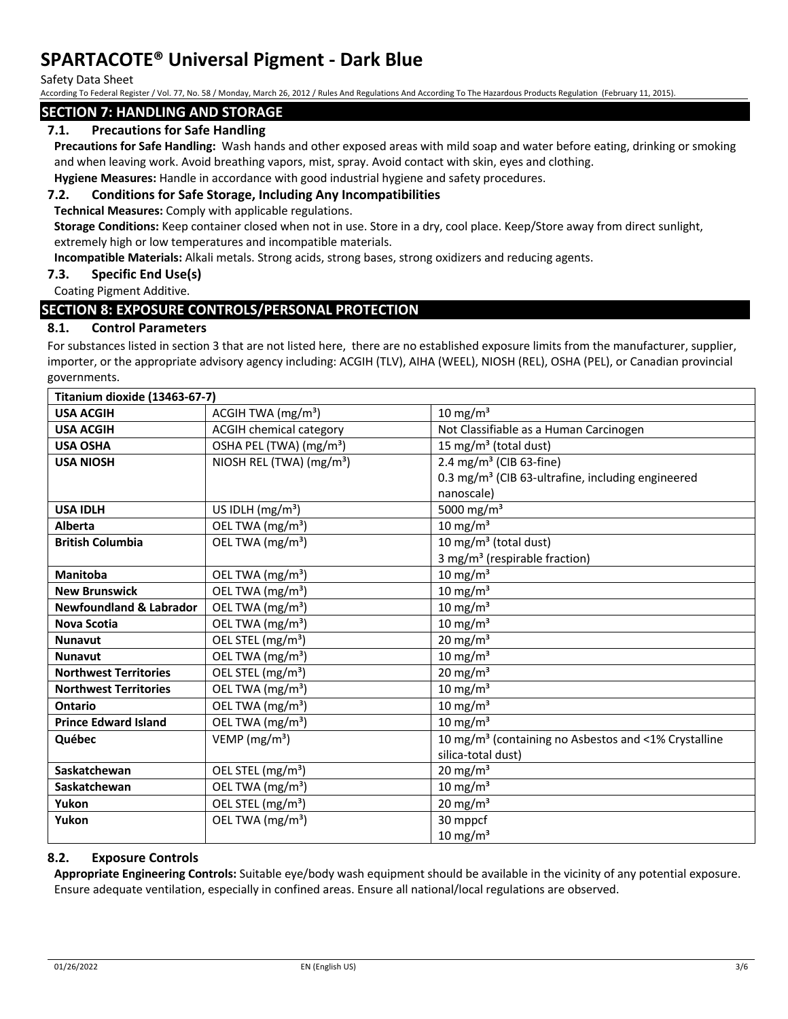Safety Data Sheet

According To Federal Register / Vol. 77, No. 58 / Monday, March 26, 2012 / Rules And Regulations And According To The Hazardous Products Regulation (February 11, 2015).

## **SECTION 7: HANDLING AND STORAGE**

## **7.1. Precautions for Safe Handling**

**Precautions for Safe Handling:** Wash hands and other exposed areas with mild soap and water before eating, drinking or smoking and when leaving work. Avoid breathing vapors, mist, spray. Avoid contact with skin, eyes and clothing.

**Hygiene Measures:** Handle in accordance with good industrial hygiene and safety procedures.

#### **7.2. Conditions for Safe Storage, Including Any Incompatibilities**

**Technical Measures:** Comply with applicable regulations.

**Storage Conditions:** Keep container closed when not in use. Store in a dry, cool place. Keep/Store away from direct sunlight, extremely high or low temperatures and incompatible materials.

**Incompatible Materials:** Alkali metals. Strong acids, strong bases, strong oxidizers and reducing agents.

## **7.3. Specific End Use(s)**

#### Coating Pigment Additive.

## **SECTION 8: EXPOSURE CONTROLS/PERSONAL PROTECTION**

#### **8.1. Control Parameters**

For substances listed in section 3 that are not listed here, there are no established exposure limits from the manufacturer, supplier, importer, or the appropriate advisory agency including: ACGIH (TLV), AIHA (WEEL), NIOSH (REL), OSHA (PEL), or Canadian provincial governments.

| <b>Titanium dioxide (13463-67-7)</b> |                                                                   |                                                                  |  |  |
|--------------------------------------|-------------------------------------------------------------------|------------------------------------------------------------------|--|--|
| <b>USA ACGIH</b>                     | ACGIH TWA (mg/m <sup>3</sup> )                                    | 10 mg/m $3$                                                      |  |  |
| <b>USA ACGIH</b>                     | <b>ACGIH chemical category</b>                                    | Not Classifiable as a Human Carcinogen                           |  |  |
| <b>USA OSHA</b>                      | OSHA PEL (TWA) (mg/m <sup>3</sup> )                               | 15 mg/m <sup>3</sup> (total dust)                                |  |  |
| <b>USA NIOSH</b>                     | NIOSH REL (TWA) (mg/m <sup>3</sup> )                              | 2.4 mg/m <sup>3</sup> (CIB 63-fine)                              |  |  |
|                                      |                                                                   | 0.3 mg/m <sup>3</sup> (CIB 63-ultrafine, including engineered    |  |  |
|                                      |                                                                   | nanoscale)                                                       |  |  |
| <b>USA IDLH</b>                      | US IDLH $(mg/m3)$                                                 | 5000 mg/m <sup>3</sup>                                           |  |  |
| <b>Alberta</b>                       | OEL TWA (mg/m <sup>3</sup> )                                      | 10 mg/m $3$                                                      |  |  |
| <b>British Columbia</b>              | 10 mg/m <sup>3</sup> (total dust)<br>OEL TWA (mg/m <sup>3</sup> ) |                                                                  |  |  |
|                                      |                                                                   | 3 mg/m <sup>3</sup> (respirable fraction)                        |  |  |
| <b>Manitoba</b>                      | OEL TWA (mg/m <sup>3</sup> )                                      | 10 mg/m $3$                                                      |  |  |
| <b>New Brunswick</b>                 | OEL TWA (mg/m <sup>3</sup> )                                      | 10 mg/ $m3$                                                      |  |  |
| <b>Newfoundland &amp; Labrador</b>   | OEL TWA (mg/m <sup>3</sup> )                                      | 10 mg/m $3$                                                      |  |  |
| <b>Nova Scotia</b>                   | OEL TWA (mg/m <sup>3</sup> )                                      | 10 mg/m $3$                                                      |  |  |
| <b>Nunavut</b>                       | OEL STEL (mg/m <sup>3</sup> )                                     | 20 mg/m $3$                                                      |  |  |
| <b>Nunavut</b>                       | OEL TWA (mg/m <sup>3</sup> )                                      | 10 mg/m $3$                                                      |  |  |
| <b>Northwest Territories</b>         | OEL STEL (mg/m <sup>3</sup> )                                     | 20 mg/m $3$                                                      |  |  |
| <b>Northwest Territories</b>         | OEL TWA (mg/m <sup>3</sup> )                                      | 10 mg/ $m3$                                                      |  |  |
| Ontario                              | OEL TWA (mg/m <sup>3</sup> )                                      | 10 mg/m $3$                                                      |  |  |
| <b>Prince Edward Island</b>          | OEL TWA (mg/m <sup>3</sup> )                                      | 10 mg/m $3$                                                      |  |  |
| Québec                               | VEMP ( $mg/m3$ )                                                  | 10 mg/m <sup>3</sup> (containing no Asbestos and <1% Crystalline |  |  |
|                                      |                                                                   | silica-total dust)                                               |  |  |
| Saskatchewan                         | OEL STEL (mg/m <sup>3</sup> )                                     | $20 \text{ mg/m}^3$                                              |  |  |
| Saskatchewan                         | OEL TWA (mg/m <sup>3</sup> )                                      | 10 mg/ $m3$                                                      |  |  |
| Yukon                                | OEL STEL (mg/m <sup>3</sup> )                                     | 20 mg/m $3$                                                      |  |  |
| Yukon                                | OEL TWA (mg/m <sup>3</sup> )                                      | 30 mppcf                                                         |  |  |
|                                      |                                                                   | 10 mg/m <sup>3</sup>                                             |  |  |

### **8.2. Exposure Controls**

**Appropriate Engineering Controls:** Suitable eye/body wash equipment should be available in the vicinity of any potential exposure. Ensure adequate ventilation, especially in confined areas. Ensure all national/local regulations are observed.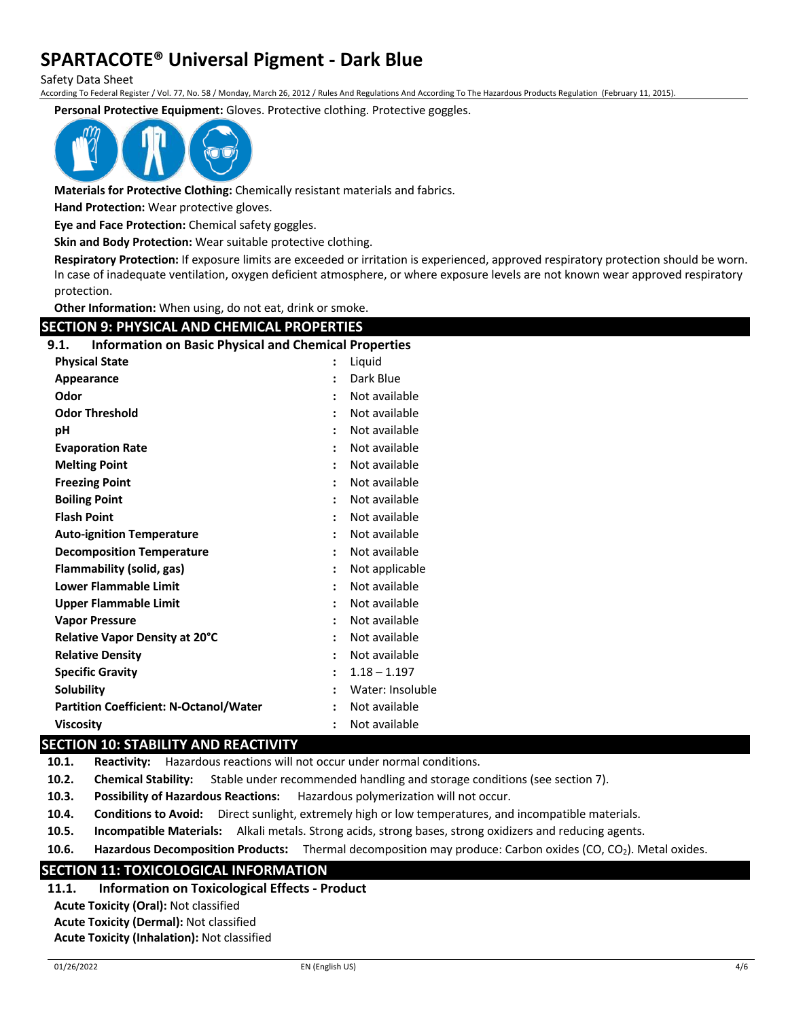Safety Data Sheet

According To Federal Register / Vol. 77, No. 58 / Monday, March 26, 2012 / Rules And Regulations And According To The Hazardous Products Regulation (February 11, 2015).

**Personal Protective Equipment:** Gloves. Protective clothing. Protective goggles.



**Materials for Protective Clothing:** Chemically resistant materials and fabrics.

**Hand Protection:** Wear protective gloves.

**Eye and Face Protection:** Chemical safety goggles.

**Skin and Body Protection:** Wear suitable protective clothing.

**Respiratory Protection:** If exposure limits are exceeded or irritation is experienced, approved respiratory protection should be worn. In case of inadequate ventilation, oxygen deficient atmosphere, or where exposure levels are not known wear approved respiratory protection.

**Other Information:** When using, do not eat, drink or smoke.

## **SECTION 9: PHYSICAL AND CHEMICAL PROPERTIES 9.1. Information on Basic Physical and Chemical Properties Physical State :** Liquid

| Appearance                                    | $\ddot{\cdot}$ | Dark Blue        |
|-----------------------------------------------|----------------|------------------|
| Odor                                          |                | Not available    |
| <b>Odor Threshold</b>                         |                | Not available    |
| рH                                            |                | Not available    |
| <b>Evaporation Rate</b>                       | $\ddot{\cdot}$ | Not available    |
| <b>Melting Point</b>                          |                | Not available    |
| <b>Freezing Point</b>                         | $\ddot{\cdot}$ | Not available    |
| <b>Boiling Point</b>                          |                | Not available    |
| <b>Flash Point</b>                            |                | Not available    |
| <b>Auto-ignition Temperature</b>              | $\ddot{\cdot}$ | Not available    |
| <b>Decomposition Temperature</b>              |                | Not available    |
| Flammability (solid, gas)                     |                | Not applicable   |
| <b>Lower Flammable Limit</b>                  | $\ddot{\cdot}$ | Not available    |
| <b>Upper Flammable Limit</b>                  |                | Not available    |
| <b>Vapor Pressure</b>                         | $\ddot{\cdot}$ | Not available    |
| Relative Vapor Density at 20°C                |                | Not available    |
| <b>Relative Density</b>                       |                | Not available    |
| <b>Specific Gravity</b>                       |                | $1.18 - 1.197$   |
| <b>Solubility</b>                             | $\ddot{\cdot}$ | Water: Insoluble |
| <b>Partition Coefficient: N-Octanol/Water</b> | $\ddot{\cdot}$ | Not available    |
| Viscosity                                     |                | Not available    |

## **SECTION 10: STABILITY AND REACTIVITY**

**10.1. Reactivity:** Hazardous reactions will not occur under normal conditions.

**10.2. Chemical Stability:** Stable under recommended handling and storage conditions (see section 7).

- **10.3. Possibility of Hazardous Reactions:** Hazardous polymerization will not occur.
- **10.4. Conditions to Avoid:** Direct sunlight, extremely high or low temperatures, and incompatible materials.

**10.5. Incompatible Materials:** Alkali metals. Strong acids, strong bases, strong oxidizers and reducing agents.

10.6. Hazardous Decomposition Products: Thermal decomposition may produce: Carbon oxides (CO, CO<sub>2</sub>). Metal oxides.

## **SECTION 11: TOXICOLOGICAL INFORMATION**

## **11.1. Information on Toxicological Effects - Product**

**Acute Toxicity (Oral):** Not classified **Acute Toxicity (Dermal):** Not classified **Acute Toxicity (Inhalation):** Not classified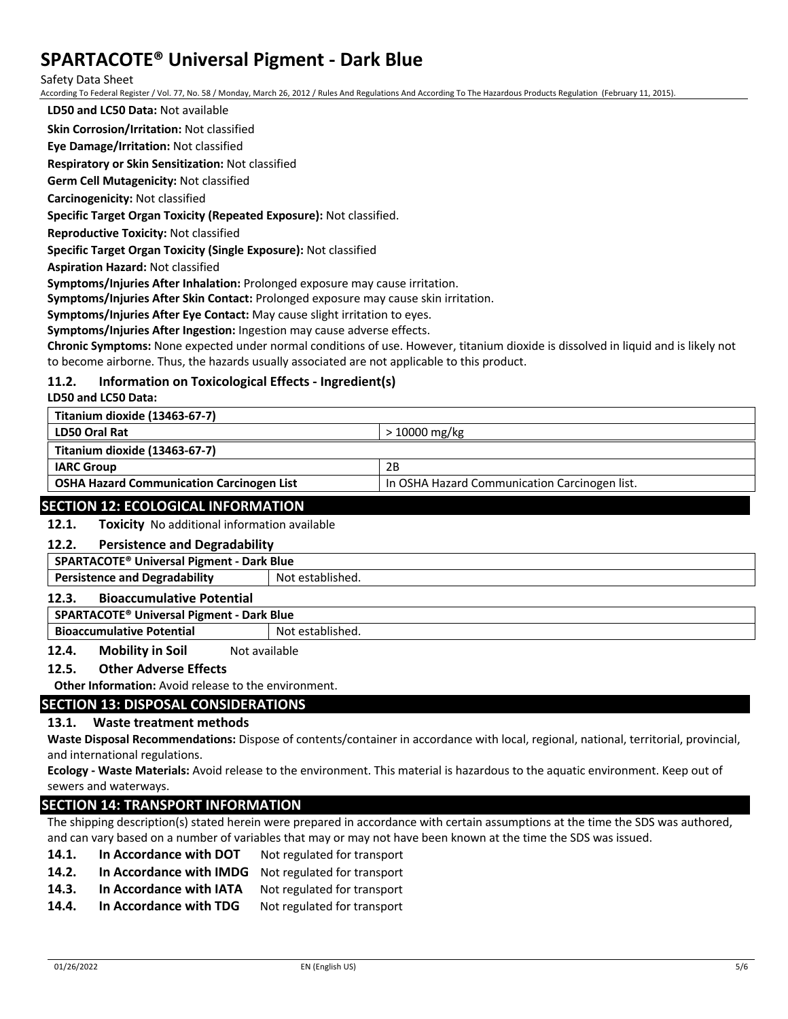Safety Data Sheet

According To Federal Register / Vol. 77, No. 58 / Monday, March 26, 2012 / Rules And Regulations And According To The Hazardous Products Regulation (February 11, 2015).

**LD50 and LC50 Data:** Not available

**Skin Corrosion/Irritation:** Not classified

**Eye Damage/Irritation:** Not classified

**Respiratory or Skin Sensitization:** Not classified

**Germ Cell Mutagenicity:** Not classified

**Carcinogenicity:** Not classified

**Specific Target Organ Toxicity (Repeated Exposure):** Not classified.

**Reproductive Toxicity:** Not classified

**Specific Target Organ Toxicity (Single Exposure):** Not classified

**Aspiration Hazard:** Not classified

**Symptoms/Injuries After Inhalation:** Prolonged exposure may cause irritation.

**Symptoms/Injuries After Skin Contact:** Prolonged exposure may cause skin irritation.

**Symptoms/Injuries After Eye Contact:** May cause slight irritation to eyes.

**Symptoms/Injuries After Ingestion:** Ingestion may cause adverse effects.

**Chronic Symptoms:** None expected under normal conditions of use. However, titanium dioxide is dissolved in liquid and is likely not to become airborne. Thus, the hazards usually associated are not applicable to this product.

### **11.2. Information on Toxicological Effects - Ingredient(s)**

**LD50 and LC50 Data:**

| Titanium dioxide (13463-67-7)                    |                                               |
|--------------------------------------------------|-----------------------------------------------|
| <b>LD50 Oral Rat</b>                             | $>10000$ mg/kg                                |
| Titanium dioxide (13463-67-7)                    |                                               |
| <b>IARC Group</b>                                | 2B                                            |
| <b>OSHA Hazard Communication Carcinogen List</b> | In OSHA Hazard Communication Carcinogen list. |
|                                                  |                                               |

#### **SECTION 12: ECOLOGICAL INFORMATION**

**12.1. Toxicity** No additional information available

#### **12.2. Persistence and Degradability**

**SPARTACOTE® Universal Pigment - Dark Blue**

## **Persistence and Degradability** Not established.

## **12.3. Bioaccumulative Potential**

**SPARTACOTE® Universal Pigment - Dark Blue**

**Bioaccumulative Potential Results** Not established.

**12.4. Mobility in Soil** Not available

#### **12.5. Other Adverse Effects**

**Other Information:** Avoid release to the environment.

#### **SECTION 13: DISPOSAL CONSIDERATIONS**

#### **13.1. Waste treatment methods**

**Waste Disposal Recommendations:** Dispose of contents/container in accordance with local, regional, national, territorial, provincial, and international regulations.

**Ecology - Waste Materials:** Avoid release to the environment. This material is hazardous to the aquatic environment. Keep out of sewers and waterways.

### **SECTION 14: TRANSPORT INFORMATION**

The shipping description(s) stated herein were prepared in accordance with certain assumptions at the time the SDS was authored, and can vary based on a number of variables that may or may not have been known at the time the SDS was issued.

- 14.1. In Accordance with DOT Not regulated for transport
- **14.2. In Accordance with IMDG** Not regulated for transport
- 14.3. In Accordance with IATA Not regulated for transport
- 14.4. In Accordance with TDG Not regulated for transport